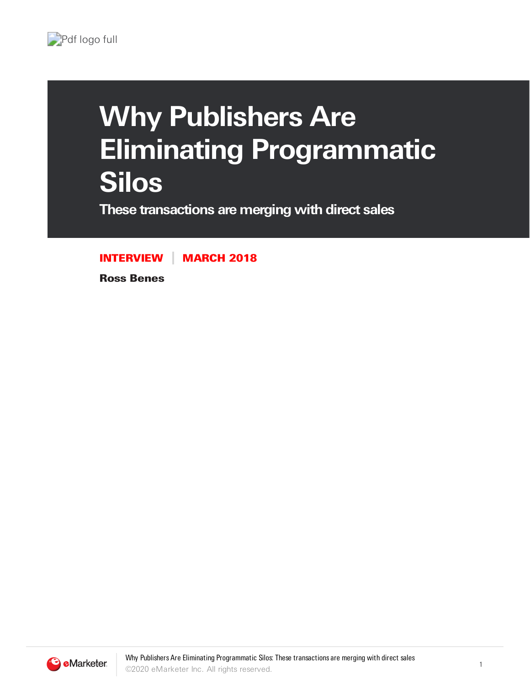

# **Why Publishers Are Eliminating Programmatic Silos**

**These transactions are merging with direct sales**

INTERVIEW MARCH 2018

Ross Benes

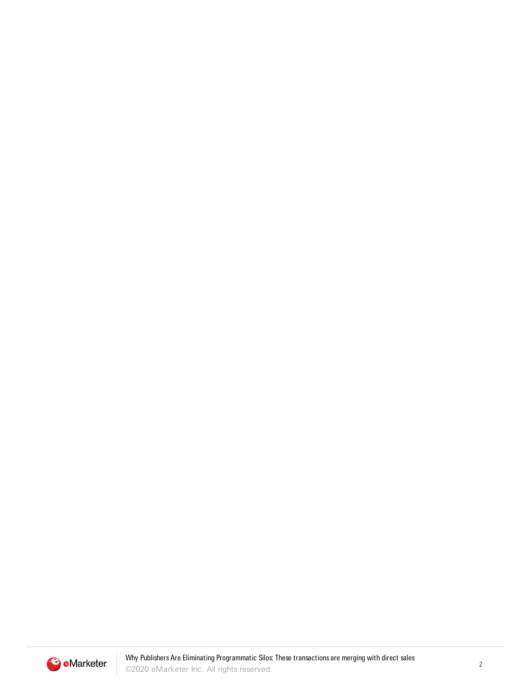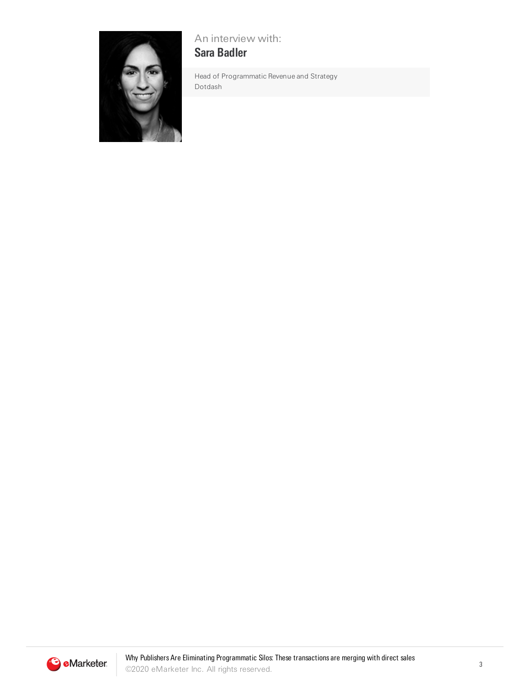

An interview with:

## **Sara Badler**

Head of Programmatic Revenue and Strategy Dotdash

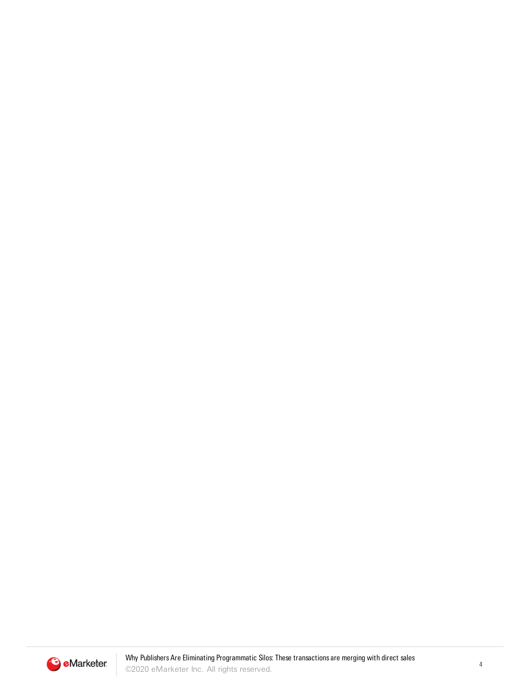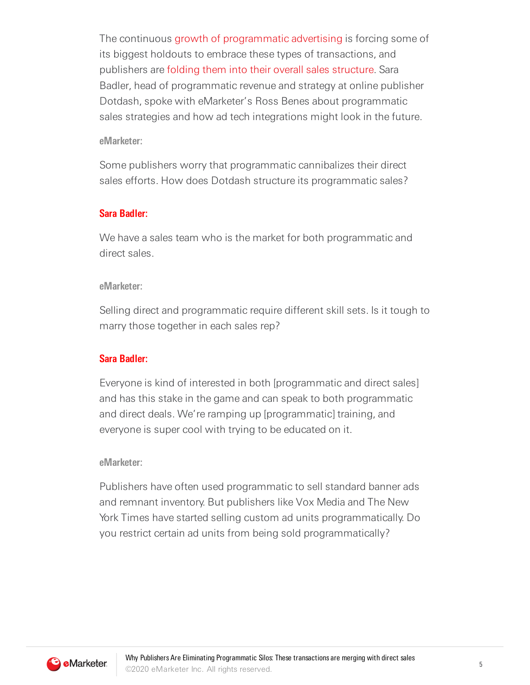The continuous growth of [programmatic](https://www.emarketer.com/Article/eMarketer-Releases-New-US-Programmatic-Ad-Spending-Figures/1016698) advertising is forcing some of its biggest holdouts to embrace these types of transactions, and publishers are folding them into their overall sales [structure.](https://digiday.com/media/new-york-times-folded-programmatic-sales-team-larger-ad-sales-org/) Sara Badler, head of programmatic revenue and strategy at online publisher Dotdash, spoke with eMarketer's Ross Benes about programmatic sales strategies and how ad tech integrations might look in the future.

#### **eMarketer:**

Some publishers worry that programmatic cannibalizes their direct sales efforts. How does Dotdash structure its programmatic sales?

#### **Sara Badler:**

We have a sales team who is the market for both programmatic and direct sales.

#### **eMarketer:**

Selling direct and programmatic require different skill sets. Is it tough to marry those together in each sales rep?

## **Sara Badler:**

Everyone is kind of interested in both [programmatic and direct sales] and has this stake in the game and can speak to both programmatic and direct deals. We're ramping up [programmatic] training, and everyone is super cool with trying to be educated on it.

#### **eMarketer:**

Publishers have often used programmatic to sell standard banner ads and remnant inventory. But publishers like Vox Media and The New York Times have started selling custom ad units programmatically. Do you restrict certain ad units from being sold programmatically?

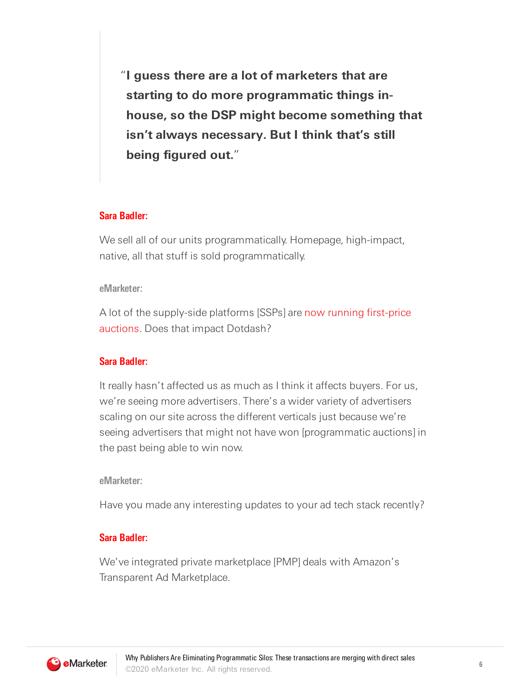**I guess there are a lot of marketers that are** "**starting to do more programmatic things inhouse, so the DSP might become something that isn't always necessary. But I think that's still being figured out.**"

#### **Sara Badler:**

We sell all of our units programmatically. Homepage, high-impact, native, all that stuff is sold programmatically.

#### **eMarketer:**

A lot of the [supply-side](https://www.emarketer.com/content/understanding-programmatic-auction-pricing-is-a-major-priority-for-marketers) platforms [SSPs] are now running first-price auctions. Does that impact Dotdash?

#### **Sara Badler:**

It really hasn't affected us as much as I think it affects buyers. For us, we're seeing more advertisers. There's a wider variety of advertisers scaling on our site across the different verticals just because we're seeing advertisers that might not have won [programmatic auctions] in the past being able to win now.

#### **eMarketer:**

Have you made any interesting updates to your ad tech stack recently?

#### **Sara Badler:**

We've integrated private marketplace [PMP] deals with Amazon's Transparent Ad Marketplace.

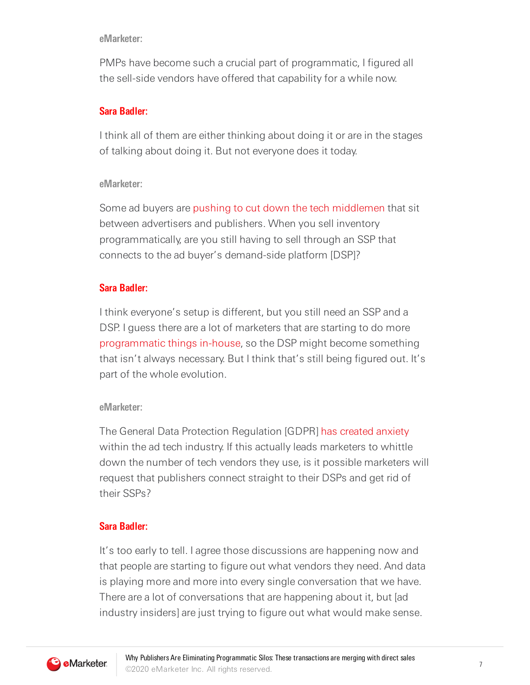**eMarketer:**

PMPs have become such a crucial part of programmatic, I figured all the sell-side vendors have offered that capability for a while now.

## **Sara Badler:**

I think all of them are either thinking about doing it or are in the stages of talking about doing it. But not everyone does it today.

## **eMarketer:**

Some ad buyers are pushing to cut down the tech [middlemen](http://www.businessinsider.com/big-ad-agencies-are-shoving-ad-tech-companies-under-the-bus-2018-3?mod=djemCMOToday) that sit between advertisers and publishers. When you sell inventory programmatically, are you still having to sell through an SSP that connects to the ad buyer's demand-side platform [DSP]?

## **Sara Badler:**

I think everyone's setup is different, but you still need an SSP and a DSP. I guess there are a lot of marketers that are starting to do more [programmatic](https://www.emarketer.com/Article/Advertisers-Express-Interest-Bringing-Programmatic-In-House/1016778) things in-house, so the DSP might become something that isn't always necessary. But I think that's still being figured out. It's part of the whole evolution.

## **eMarketer:**

The General Data Protection Regulation [GDPR] has [created](https://www.emarketer.com/content/few-companies-are-ready-for-the-upcoming-gdpr) anxiety within the ad tech industry. If this actually leads marketers to whittle down the number of tech vendors they use, is it possible marketers will request that publishers connect straight to their DSPs and get rid of their SSPs?

## **Sara Badler:**

It's too early to tell. I agree those discussions are happening now and that people are starting to figure out what vendors they need. And data is playing more and more into every single conversation that we have. There are a lot of conversations that are happening about it, but [ad industry insiders] are just trying to figure out what would make sense.